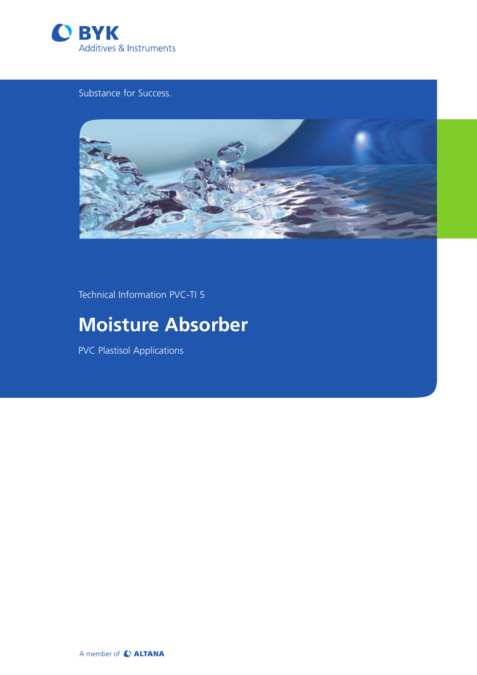

# Substance for Success.



Technical Information PVC-TI 5

# **Moisture Absorber**

PVC Plastisol Applications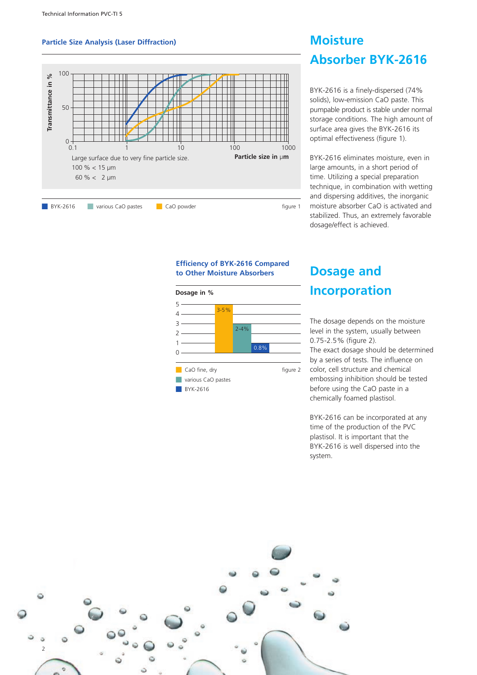### **Particle Size Analysis (Laser Diffraction)**



# **Moisture Absorber BYK-2616**

BYK-2616 is a finely-dispersed (74% solids), low-emission CaO paste. This pumpable product is stable under normal storage conditions. The high amount of surface area gives the BYK-2616 its optimal effectiveness (figure 1).

BYK-2616 eliminates moisture, even in large amounts, in a short period of time. Utilizing a special preparation technique, in combination with wetting and dispersing additives, the inorganic moisture absorber CaO is activated and stabilized. Thus, an extremely favorable dosage/effect is achieved.

### **Efficiency of BYK-2616 Compared to Other Moisture Absorbers**



# **Dosage and Incorporation**

The dosage depends on the moisture level in the system, usually between 0.75-2.5% (figure 2). The exact dosage should be determined by a series of tests. The influence on color, cell structure and chemical embossing inhibition should be tested before using the CaO paste in a chemically foamed plastisol.

BYK-2616 can be incorporated at any time of the production of the PVC plastisol. It is important that the BYK-2616 is well dispersed into the system.

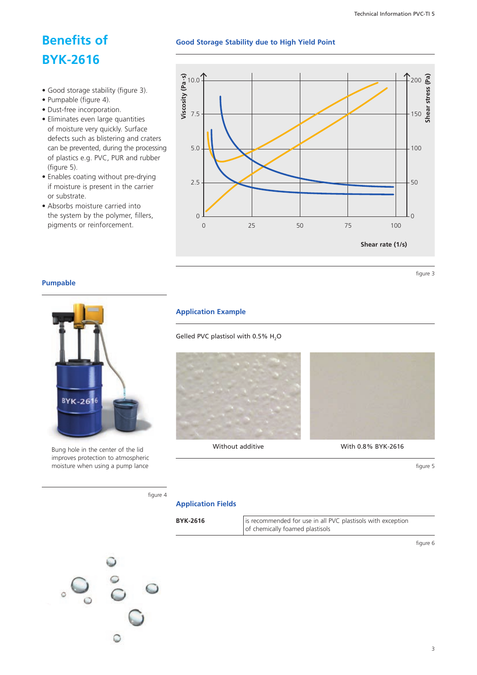# **Benefits of BYK-2616**

- • Good storage stability (figure 3).
- • Pumpable (figure 4).
- • Dust-free incorporation.
- Eliminates even large quantities of moisture very quickly. Surface defects such as blistering and craters can be prevented, during the processing of plastics e.g. PVC, PUR and rubber (figure 5).
- Enables coating without pre-drying if moisture is present in the carrier or substrate.
- Absorbs moisture carried into the system by the polymer, fillers, pigments or reinforcement.



**Good Storage Stability due to High Yield Point**

figure 3

### **Pumpable**



Bung hole in the center of the lid improves protection to atmospheric moisture when using a pump lance

### **Application Example**

Gelled PVC plastisol with 0.5%  $H_2$ O







Without additive With 0.8% BYK-2616

figure 5

figure 4

### **Application Fields**

| <b>BYK-2616</b> | is recommended for use in all PVC plastisols with exception<br>of chemically foamed plastisols |
|-----------------|------------------------------------------------------------------------------------------------|
|                 |                                                                                                |

figure 6